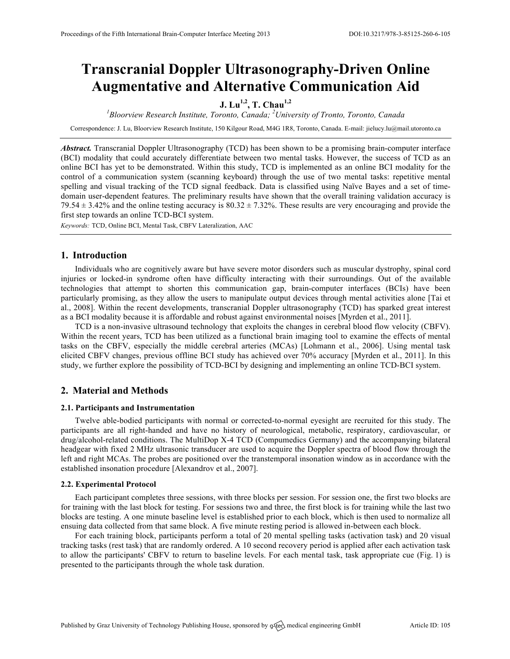# **Transcranial Doppler Ultrasonography-Driven Online Augmentative and Alternative Communication Aid**

# **J. Lu1,2, T. Chau1,2**

*1 Bloorview Research Institute, Toronto, Canada; <sup>2</sup> University of Tronto, Toronto, Canada*

Correspondence: J. Lu, Bloorview Research Institute, 150 Kilgour Road, M4G 1R8, Toronto, Canada. E-mail: jielucy.lu@mail.utoronto.ca

*Abstract.* Transcranial Doppler Ultrasonography (TCD) has been shown to be a promising brain-computer interface (BCI) modality that could accurately differentiate between two mental tasks. However, the success of TCD as an online BCI has yet to be demonstrated. Within this study, TCD is implemented as an online BCI modality for the control of a communication system (scanning keyboard) through the use of two mental tasks: repetitive mental spelling and visual tracking of the TCD signal feedback. Data is classified using Naïve Bayes and a set of timedomain user-dependent features. The preliminary results have shown that the overall training validation accuracy is  $79.54 \pm 3.42\%$  and the online testing accuracy is  $80.32 \pm 7.32\%$ . These results are very encouraging and provide the first step towards an online TCD-BCI system.

*Keywords:* TCD, Online BCI, Mental Task, CBFV Lateralization, AAC

## **1. Introduction**

Individuals who are cognitively aware but have severe motor disorders such as muscular dystrophy, spinal cord injuries or locked-in syndrome often have difficulty interacting with their surroundings. Out of the available technologies that attempt to shorten this communication gap, brain-computer interfaces (BCIs) have been particularly promising, as they allow the users to manipulate output devices through mental activities alone [Tai et al., 2008]. Within the recent developments, transcranial Doppler ultrasonography (TCD) has sparked great interest as a BCI modality because it is affordable and robust against environmental noises [Myrden et al., 2011].

TCD is a non-invasive ultrasound technology that exploits the changes in cerebral blood flow velocity (CBFV). Within the recent years, TCD has been utilized as a functional brain imaging tool to examine the effects of mental tasks on the CBFV, especially the middle cerebral arteries (MCAs) [Lohmann et al., 2006]. Using mental task elicited CBFV changes, previous offline BCI study has achieved over 70% accuracy [Myrden et al., 2011]. In this study, we further explore the possibility of TCD-BCI by designing and implementing an online TCD-BCI system.

### **2. Material and Methods**

#### **2.1. Participants and Instrumentation**

Twelve able-bodied participants with normal or corrected-to-normal eyesight are recruited for this study. The participants are all right-handed and have no history of neurological, metabolic, respiratory, cardiovascular, or drug/alcohol-related conditions. The MultiDop X-4 TCD (Compumedics Germany) and the accompanying bilateral headgear with fixed 2 MHz ultrasonic transducer are used to acquire the Doppler spectra of blood flow through the left and right MCAs. The probes are positioned over the transtemporal insonation window as in accordance with the established insonation procedure [Alexandrov et al., 2007].

#### **2.2. Experimental Protocol**

Each participant completes three sessions, with three blocks per session. For session one, the first two blocks are for training with the last block for testing. For sessions two and three, the first block is for training while the last two blocks are testing. A one minute baseline level is established prior to each block, which is then used to normalize all ensuing data collected from that same block. A five minute resting period is allowed in-between each block.

For each training block, participants perform a total of 20 mental spelling tasks (activation task) and 20 visual tracking tasks (rest task) that are randomly ordered. A 10 second recovery period is applied after each activation task to allow the participants' CBFV to return to baseline levels. For each mental task, task appropriate cue (Fig. 1) is presented to the participants through the whole task duration.